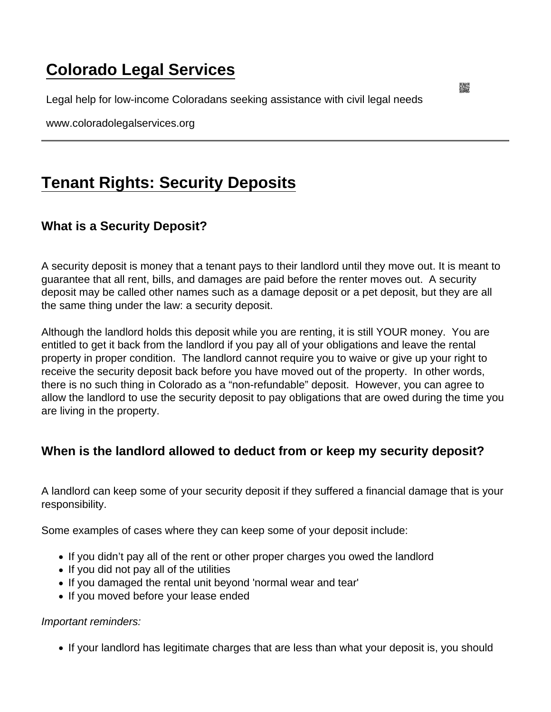# [Colorado Legal Services](https://www.coloradolegalservices.org/)

Legal help for low-income Coloradans seeking assistance with civil legal needs

www.coloradolegalservices.org

# [Tenant Rights: Security Deposits](https://www.coloradolegalservices.org/node/89/tenant-rights-security-deposits)

## What is a Security Deposit?

A security deposit is money that a tenant pays to their landlord until they move out. It is meant to guarantee that all rent, bills, and damages are paid before the renter moves out. A security deposit may be called other names such as a damage deposit or a pet deposit, but they are all the same thing under the law: a security deposit.

Although the landlord holds this deposit while you are renting, it is still YOUR money. You are entitled to get it back from the landlord if you pay all of your obligations and leave the rental property in proper condition. The landlord cannot require you to waive or give up your right to receive the security deposit back before you have moved out of the property. In other words, there is no such thing in Colorado as a "non-refundable" deposit. However, you can agree to allow the landlord to use the security deposit to pay obligations that are owed during the time you are living in the property.

When is the landlord allowed to deduct from or keep my security deposit?

A landlord can keep some of your security deposit if they suffered a financial damage that is your responsibility.

Some examples of cases where they can keep some of your deposit include:

- If you didn't pay all of the rent or other proper charges you owed the landlord
- If you did not pay all of the utilities
- If you damaged the rental unit beyond 'normal wear and tear'
- If you moved before your lease ended

Important reminders:

• If your landlord has legitimate charges that are less than what your deposit is, you should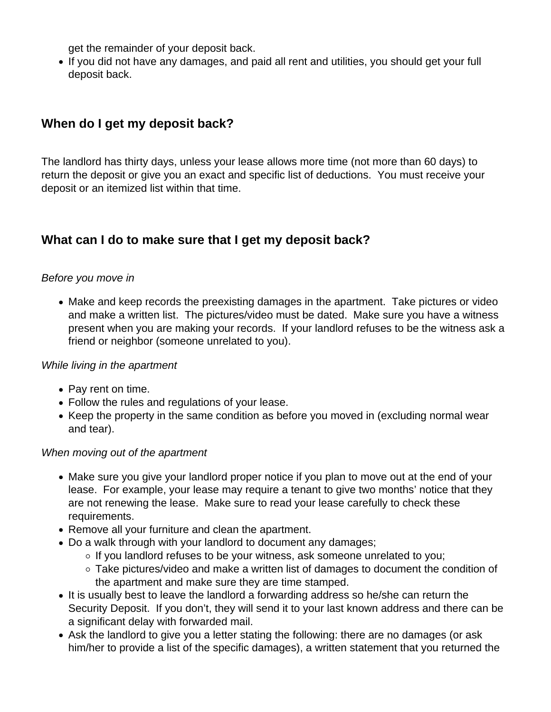get the remainder of your deposit back.

If you did not have any damages, and paid all rent and utilities, you should get your full deposit back.

## **When do I get my deposit back?**

The landlord has thirty days, unless your lease allows more time (not more than 60 days) to return the deposit or give you an exact and specific list of deductions. You must receive your deposit or an itemized list within that time.

### **What can I do to make sure that I get my deposit back?**

#### Before you move in

• Make and keep records the preexisting damages in the apartment. Take pictures or video and make a written list. The pictures/video must be dated. Make sure you have a witness present when you are making your records. If your landlord refuses to be the witness ask a friend or neighbor (someone unrelated to you).

#### While living in the apartment

- Pay rent on time.
- Follow the rules and regulations of your lease.
- Keep the property in the same condition as before you moved in (excluding normal wear and tear).

#### When moving out of the apartment

- Make sure you give your landlord proper notice if you plan to move out at the end of your lease. For example, your lease may require a tenant to give two months' notice that they are not renewing the lease. Make sure to read your lease carefully to check these requirements.
- Remove all your furniture and clean the apartment.
- Do a walk through with your landlord to document any damages;
	- $\circ$  If you landlord refuses to be your witness, ask someone unrelated to you;
	- Take pictures/video and make a written list of damages to document the condition of the apartment and make sure they are time stamped.
- It is usually best to leave the landlord a forwarding address so he/she can return the Security Deposit. If you don't, they will send it to your last known address and there can be a significant delay with forwarded mail.
- Ask the landlord to give you a letter stating the following: there are no damages (or ask him/her to provide a list of the specific damages), a written statement that you returned the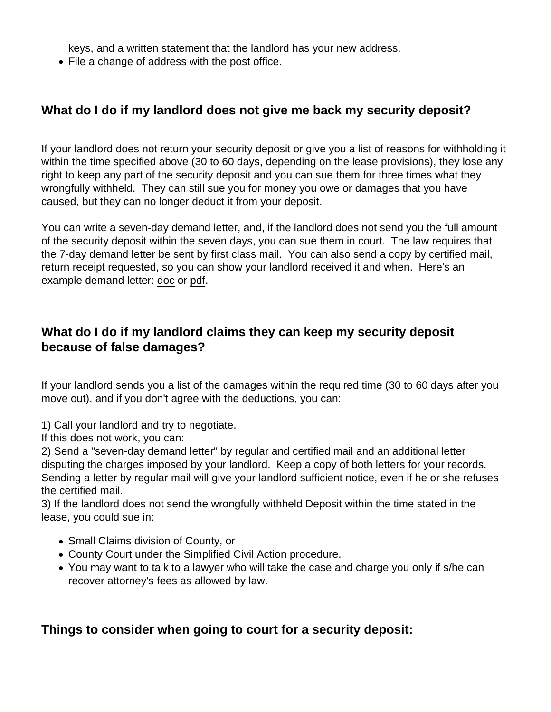keys, and a written statement that the landlord has your new address.

• File a change of address with the post office.

### What do I do if my landlord does not give me back my security deposit?

If your landlord does not return your security deposit or give you a list of reasons for withholding it within the time specified above (30 to 60 days, depending on the lease provisions), they lose any right to keep any part of the security deposit and you can sue them for three times what they wrongfully withheld. They can still sue you for money you owe or damages that you have caused, but they can no longer deduct it from your deposit.

You can write a seven-day demand letter, and, if the landlord does not send you the full amount of the security deposit within the seven days, you can sue them in court. The law requires that the 7-day demand letter be sent by first class mail. You can also send a copy by certified mail, return receipt requested, so you can show your landlord received it and when. Here's an example demand letter: [doc](https://clswebsite.s3.us-west-1.amazonaws.com/Security+Deposit+Demand+Letters.docx) or [pdf](https://clswebsite.s3.us-west-1.amazonaws.com/Security+Deposit+Demand+Letters.pdf).

What do I do if my landlord claims they can keep my security deposit because of false damages?

If your landlord sends you a list of the damages within the required time (30 to 60 days after you move out), and if you don't agree with the deductions, you can:

1) Call your landlord and try to negotiate.

If this does not work, you can:

2) Send a "seven-day demand letter" by regular and certified mail and an additional letter disputing the charges imposed by your landlord. Keep a copy of both letters for your records. Sending a letter by regular mail will give your landlord sufficient notice, even if he or she refuses the certified mail.

3) If the landlord does not send the wrongfully withheld Deposit within the time stated in the lease, you could sue in:

- Small Claims division of County, or
- County Court under the Simplified Civil Action procedure.
- You may want to talk to a lawyer who will take the case and charge you only if s/he can recover attorney's fees as allowed by law.

Things to consider when going to court for a security deposit: